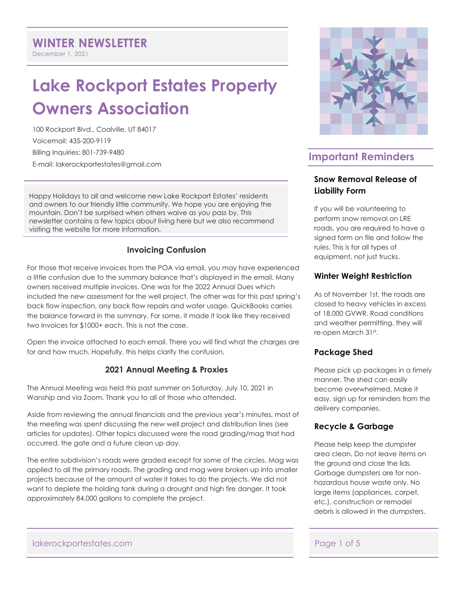December 1, 2021

# **Lake Rockport Estates Property Owners Association**

100 Rockport Blvd., Coalville, UT 84017 Voicemail: 435-200-9119 Billing Inquiries: 801-739-9480 E-mail: lakerockportestates@gmail.com

Happy Holidays to all and welcome new Lake Rockport Estates' residents and owners to our friendly little community. We hope you are enjoying the mountain. Don't be surprised when others waive as you pass by. This newsletter contains a few topics about living here but we also recommend visiting the website for more information.

## **Invoicing Confusion**

For those that receive invoices from the POA via email, you may have experienced a little confusion due to the summary balance that's displayed in the email. Many owners received multiple invoices. One was for the 2022 Annual Dues which included the new assessment for the well project. The other was for this past spring's back flow inspection, any back flow repairs and water usage. QuickBooks carries the balance forward in the summary. For some, it made it look like they received two invoices for \$1000+ each. This is not the case.

Open the invoice attached to each email. There you will find what the charges are for and how much. Hopefully, this helps clarify the confusion.

## **2021 Annual Meeting & Proxies**

The Annual Meeting was held this past summer on Saturday, July 10, 2021 in Wanship and via Zoom. Thank you to all of those who attended.

Aside from reviewing the annual financials and the previous year's minutes, most of the meeting was spent discussing the new well project and distribution lines (see articles for updates). Other topics discussed were the road grading/mag that had occurred, the gate and a future clean up day.

The entire subdivision's roads were graded except for some of the circles. Mag was applied to all the primary roads. The grading and mag were broken up into smaller projects because of the amount of water it takes to do the projects. We did not want to deplete the holding tank during a drought and high fire danger. It took approximately 84,000 gallons to complete the project.



## **Important Reminders**

## **Snow Removal Release of Liability Form**

If you will be volunteering to perform snow removal on LRE roads, you are required to have a signed form on file and follow the rules. This is for all types of equipment, not just trucks.

## **Winter Weight Restriction**

As of November 1st, the roads are closed to heavy vehicles in excess of 18,000 GVWR. Road conditions and weather permitting, they will re-open March 31st.

## **Package Shed**

Please pick up packages in a timely manner. The shed can easily become overwhelmed. Make it easy, sign up for reminders from the delivery companies.

## **Recycle & Garbage**

Please help keep the dumpster area clean. Do not leave items on the ground and close the lids. Garbage dumpsters are for nonhazardous house waste only. No large items (appliances, carpet, etc.), construction or remodel debris is allowed in the dumpsters.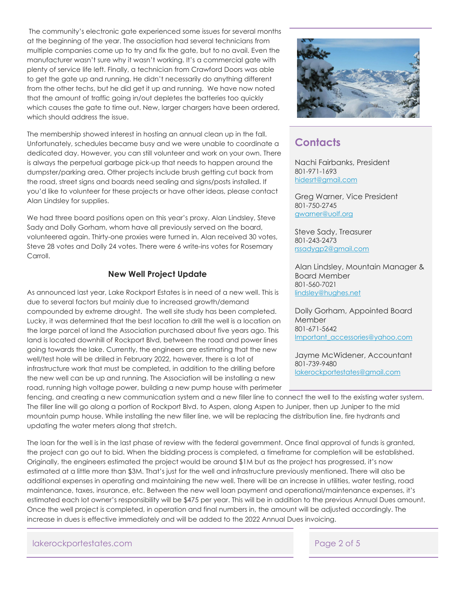The community's electronic gate experienced some issues for several months at the beginning of the year. The association had several technicians from multiple companies come up to try and fix the gate, but to no avail. Even the manufacturer wasn't sure why it wasn't working. It's a commercial gate with plenty of service life left. Finally, a technician from Crawford Doors was able to get the gate up and running. He didn't necessarily do anything different from the other techs, but he did get it up and running. We have now noted that the amount of traffic going in/out depletes the batteries too quickly which causes the gate to time out. New, larger chargers have been ordered, which should address the issue.

The membership showed interest in hosting an annual clean up in the fall. Unfortunately, schedules became busy and we were unable to coordinate a dedicated day. However, you can still volunteer and work on your own. There is always the perpetual garbage pick-up that needs to happen around the dumpster/parking area. Other projects include brush getting cut back from the road, street signs and boards need sealing and signs/posts installed. If you'd like to volunteer for these projects or have other ideas, please contact Alan Lindsley for supplies.

We had three board positions open on this year's proxy. Alan Lindsley, Steve Sady and Dolly Gorham, whom have all previously served on the board, volunteered again. Thirty-one proxies were turned in. Alan received 30 votes, Steve 28 votes and Dolly 24 votes. There were 6 write-ins votes for Rosemary Carroll.

## **New Well Project Update**

As announced last year, Lake Rockport Estates is in need of a new well. This is due to several factors but mainly due to increased growth/demand compounded by extreme drought. The well site study has been completed. Lucky, it was determined that the best location to drill the well is a location on the large parcel of land the Association purchased about five years ago. This land is located downhill of Rockport Blvd, between the road and power lines going towards the lake. Currently, the engineers are estimating that the new well/test hole will be drilled in February 2022, however, there is a lot of infrastructure work that must be completed, in addition to the drilling before the new well can be up and running. The Association will be installing a new road, running high voltage power, building a new pump house with perimeter

fencing, and creating a new communication system and a new filler line to connect the well to the existing water system. The filler line will go along a portion of Rockport Blvd. to Aspen, along Aspen to Juniper, then up Juniper to the mid mountain pump house. While installing the new filler line, we will be replacing the distribution line, fire hydrants and updating the water meters along that stretch.

The loan for the well is in the last phase of review with the federal government. Once final approval of funds is granted, the project can go out to bid. When the bidding process is completed, a timeframe for completion will be established. Originally, the engineers estimated the project would be around \$1M but as the project has progressed, it's now estimated at a little more than \$3M. That's just for the well and infrastructure previously mentioned. There will also be additional expenses in operating and maintaining the new well. There will be an increase in utilities, water testing, road maintenance, taxes, insurance, etc. Between the new well loan payment and operational/maintenance expenses, it's estimated each lot owner's responsibility will be \$475 per year. This will be in addition to the previous Annual Dues amount. Once the well project is completed, in operation and final numbers in, the amount will be adjusted accordingly. The increase in dues is effective immediately and will be added to the 2022 Annual Dues invoicing.

lakerockportestates.com Page 2 of 5



## **Contacts**

Nachi Fairbanks, President 801-971-1693 hidesrt@gmail.com

Greg Warner, Vice President 801-750-2745 gwarner@uolf.org

Steve Sady, Treasurer 801-243-2473 rssadygp2@gmail.com

Alan Lindsley, Mountain Manager & Board Member 801-560-7021 lindsley@hughes.net

Dolly Gorham, Appointed Board Member 801-671-5642 Important\_accessories@yahoo.com

Jayme McWidener, Accountant 801-739-9480 lakerockportestates@gmail.com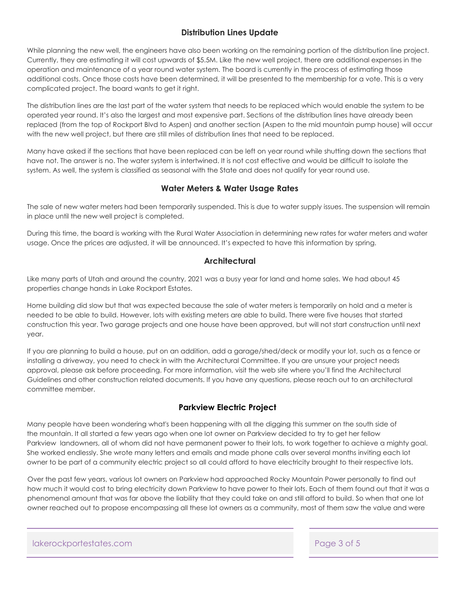## **Distribution Lines Update**

While planning the new well, the engineers have also been working on the remaining portion of the distribution line project. Currently, they are estimating it will cost upwards of \$5.5M. Like the new well project, there are additional expenses in the operation and maintenance of a year round water system. The board is currently in the process of estimating those additional costs. Once those costs have been determined, it will be presented to the membership for a vote. This is a very complicated project. The board wants to get it right.

The distribution lines are the last part of the water system that needs to be replaced which would enable the system to be operated year round. It's also the largest and most expensive part. Sections of the distribution lines have already been replaced (from the top of Rockport Blvd to Aspen) and another section (Aspen to the mid mountain pump house) will occur with the new well project, but there are still miles of distribution lines that need to be replaced.

Many have asked if the sections that have been replaced can be left on year round while shutting down the sections that have not. The answer is no. The water system is intertwined. It is not cost effective and would be difficult to isolate the system. As well, the system is classified as seasonal with the State and does not qualify for year round use.

## **Water Meters & Water Usage Rates**

The sale of new water meters had been temporarily suspended. This is due to water supply issues. The suspension will remain in place until the new well project is completed.

During this time, the board is working with the Rural Water Association in determining new rates for water meters and water usage. Once the prices are adjusted, it will be announced. It's expected to have this information by spring.

## **Architectural**

Like many parts of Utah and around the country, 2021 was a busy year for land and home sales. We had about 45 properties change hands in Lake Rockport Estates.

Home building did slow but that was expected because the sale of water meters is temporarily on hold and a meter is needed to be able to build. However, lots with existing meters are able to build. There were five houses that started construction this year. Two garage projects and one house have been approved, but will not start construction until next year.

If you are planning to build a house, put on an addition, add a garage/shed/deck or modify your lot, such as a fence or installing a driveway, you need to check in with the Architectural Committee. If you are unsure your project needs approval, please ask before proceeding. For more information, visit the web site where you'll find the Architectural Guidelines and other construction related documents. If you have any questions, please reach out to an architectural committee member.

## **Parkview Electric Project**

Many people have been wondering what's been happening with all the digging this summer on the south side of the mountain. It all started a few years ago when one lot owner on Parkview decided to try to get her fellow Parkview landowners, all of whom did not have permanent power to their lots, to work together to achieve a mighty goal. She worked endlessly. She wrote many letters and emails and made phone calls over several months inviting each lot owner to be part of a community electric project so all could afford to have electricity brought to their respective lots.

Over the past few years, various lot owners on Parkview had approached Rocky Mountain Power personally to find out how much it would cost to bring electricity down Parkview to have power to their lots. Each of them found out that it was a phenomenal amount that was far above the liability that they could take on and still afford to build. So when that one lot owner reached out to propose encompassing all these lot owners as a community, most of them saw the value and were

lakerockportestates.com Page 3 of 5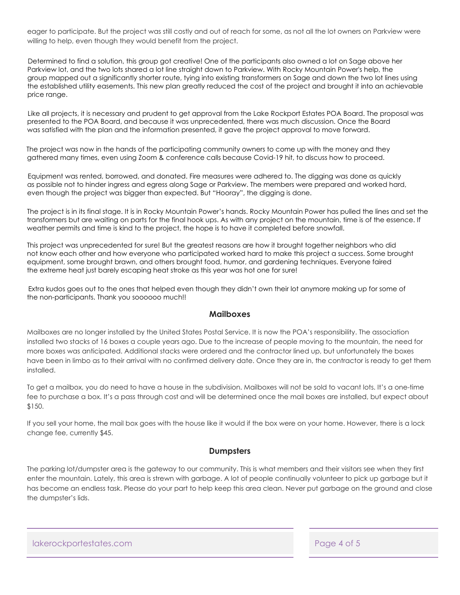eager to participate. But the project was still costly and out of reach for some, as not all the lot owners on Parkview were willing to help, even though they would benefit from the project.

Determined to find a solution, this group got creative! One of the participants also owned a lot on Sage above her Parkview lot, and the two lots shared a lot line straight down to Parkview. With Rocky Mountain Power's help, the group mapped out a significantly shorter route, tying into existing transformers on Sage and down the two lot lines using the established utility easements. This new plan greatly reduced the cost of the project and brought it into an achievable price range.

Like all projects, it is necessary and prudent to get approval from the Lake Rockport Estates POA Board. The proposal was presented to the POA Board, and because it was unprecedented, there was much discussion. Once the Board was satisfied with the plan and the information presented, it gave the project approval to move forward.

The project was now in the hands of the participating community owners to come up with the money and they gathered many times, even using Zoom & conference calls because Covid-19 hit, to discuss how to proceed.

Equipment was rented, borrowed, and donated. Fire measures were adhered to. The digging was done as quickly as possible not to hinder ingress and egress along Sage or Parkview. The members were prepared and worked hard, even though the project was bigger than expected. But "Hooray", the digging is done.

The project is in its final stage. It is in Rocky Mountain Power's hands. Rocky Mountain Power has pulled the lines and set the transformers but are waiting on parts for the final hook ups. As with any project on the mountain, time is of the essence. If weather permits and time is kind to the project, the hope is to have it completed before snowfall.

This project was unprecedented for sure! But the greatest reasons are how it brought together neighbors who did not know each other and how everyone who participated worked hard to make this project a success. Some brought equipment, some brought brawn, and others brought food, humor, and gardening techniques. Everyone faired the extreme heat just barely escaping heat stroke as this year was hot one for sure!

 Extra kudos goes out to the ones that helped even though they didn't own their lot anymore making up for some of the non-participants. Thank you soooooo much!!

## **Mailboxes**

Mailboxes are no longer installed by the United States Postal Service. It is now the POA's responsibility. The association installed two stacks of 16 boxes a couple years ago. Due to the increase of people moving to the mountain, the need for more boxes was anticipated. Additional stacks were ordered and the contractor lined up, but unfortunately the boxes have been in limbo as to their arrival with no confirmed delivery date. Once they are in, the contractor is ready to get them installed.

To get a mailbox, you do need to have a house in the subdivision. Mailboxes will not be sold to vacant lots. It's a one-time fee to purchase a box. It's a pass through cost and will be determined once the mail boxes are installed, but expect about \$150.

If you sell your home, the mail box goes with the house like it would if the box were on your home. However, there is a lock change fee, currently \$45.

## **Dumpsters**

The parking lot/dumpster area is the gateway to our community. This is what members and their visitors see when they first enter the mountain. Lately, this area is strewn with garbage. A lot of people continually volunteer to pick up garbage but it has become an endless task. Please do your part to help keep this area clean. Never put garbage on the ground and close the dumpster's lids.

lakerockportestates.com Page 4 of 5